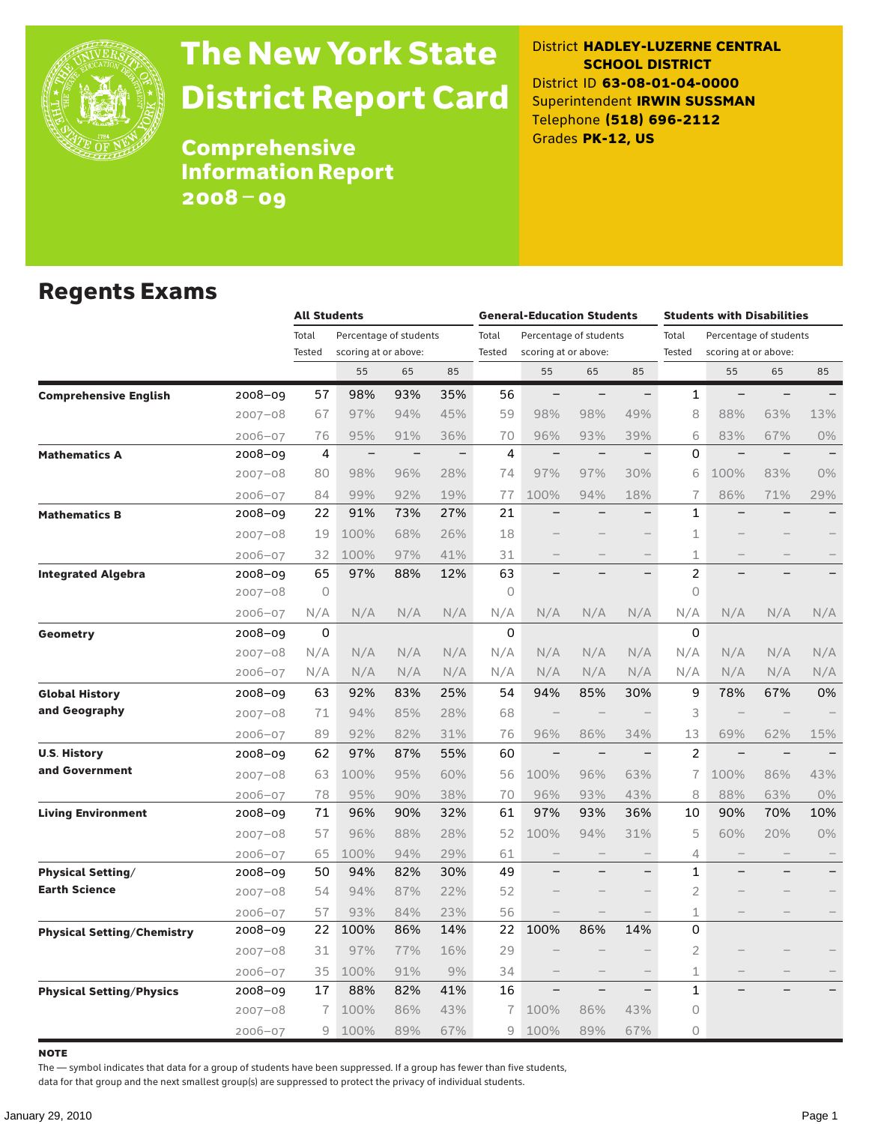

# The New York State District Report Card

District **HADLEY-LUZERNE CENTRAL SCHOOL DISTRICT** District ID **63-08-01-04-0000** Superintendent **IRWIN SUSSMAN** Telephone **(518) 696-2112** Grades **PK-12, US**

**Comprehensive** Information Report 2008–09

### Regents Exams

|                                   |             |         | <b>All Students</b>      |     |     |          | <b>General-Education Students</b> |                          |                          |                | <b>Students with Disabilities</b> |          |                          |  |  |  |  |  |
|-----------------------------------|-------------|---------|--------------------------|-----|-----|----------|-----------------------------------|--------------------------|--------------------------|----------------|-----------------------------------|----------|--------------------------|--|--|--|--|--|
|                                   |             | Total   | Percentage of students   |     |     | Total    |                                   | Percentage of students   |                          | Total          | Percentage of students            |          |                          |  |  |  |  |  |
|                                   |             | Tested  | scoring at or above:     |     |     | Tested   | scoring at or above:              |                          |                          | Tested         | scoring at or above:              |          |                          |  |  |  |  |  |
|                                   |             |         | 55                       | 65  | 85  |          | 55                                | 65                       | 85                       |                | 55                                | 65       | 85                       |  |  |  |  |  |
| <b>Comprehensive English</b>      | 2008-09     | 57      | 98%                      | 93% | 35% | 56       | $-$                               | $\overline{\phantom{0}}$ | $\overline{\phantom{0}}$ | 1              | $\qquad \qquad -$                 | $\equiv$ | $\qquad \qquad -$        |  |  |  |  |  |
|                                   | $2007 - 08$ | 67      | 97%                      | 94% | 45% | 59       | 98%                               | 98%                      | 49%                      | 8              | 88%                               | 63%      | 13%                      |  |  |  |  |  |
|                                   | 2006-07     | 76      | 95%                      | 91% | 36% | 70       | 96%                               | 93%                      | 39%                      | 6              | 83%                               | 67%      | 0%                       |  |  |  |  |  |
| <b>Mathematics A</b>              | $2008 - 09$ | 4       | $\overline{\phantom{0}}$ |     |     | 4        | $\qquad \qquad -$                 | $\overline{\phantom{0}}$ | $\overline{\phantom{0}}$ | $\Omega$       | $\overline{\phantom{0}}$          | $\equiv$ | $\overline{\phantom{0}}$ |  |  |  |  |  |
|                                   | $2007 - 08$ | 80      | 98%                      | 96% | 28% | 74       | 97%                               | 97%                      | 30%                      | 6              | 100%                              | 83%      | $0\%$                    |  |  |  |  |  |
|                                   | 2006-07     | 84      | 99%                      | 92% | 19% | 77       | 100%                              | 94%                      | 18%                      | $\overline{1}$ | 86%                               | 71%      | 29%                      |  |  |  |  |  |
| <b>Mathematics B</b>              | $2008 - 09$ | 22      | 91%                      | 73% | 27% | 21       | $\overline{\phantom{0}}$          | $\overline{\phantom{0}}$ | $\overline{\phantom{0}}$ | $\mathbf{1}$   | $\overline{\phantom{0}}$          |          | $\overline{\phantom{0}}$ |  |  |  |  |  |
|                                   | 2007-08     | 19      | 100%                     | 68% | 26% | 18       |                                   |                          |                          | 1              |                                   |          |                          |  |  |  |  |  |
|                                   | 2006-07     | 32      | 100%                     | 97% | 41% | 31       |                                   |                          | $\overline{\phantom{0}}$ | 1              |                                   |          |                          |  |  |  |  |  |
| <b>Integrated Algebra</b>         | 2008–09     | 65      | 97%                      | 88% | 12% | 63       |                                   |                          | $\overline{\phantom{0}}$ | $\overline{c}$ |                                   |          |                          |  |  |  |  |  |
|                                   | 2007-08     | $\circ$ |                          |     |     | $\Omega$ |                                   |                          |                          | $\Omega$       |                                   |          |                          |  |  |  |  |  |
|                                   | 2006-07     | N/A     | N/A                      | N/A | N/A | N/A      | N/A                               | N/A                      | N/A                      | N/A            | N/A                               | N/A      | N/A                      |  |  |  |  |  |
| <b>Geometry</b>                   | 2008-09     | 0       |                          |     |     | 0        |                                   |                          |                          | 0              |                                   |          |                          |  |  |  |  |  |
|                                   | $2007 - 08$ | N/A     | N/A                      | N/A | N/A | N/A      | N/A                               | N/A                      | N/A                      | N/A            | N/A                               | N/A      | N/A                      |  |  |  |  |  |
|                                   | 2006-07     | N/A     | N/A                      | N/A | N/A | N/A      | N/A                               | N/A                      | N/A                      | N/A            | N/A                               | N/A      | N/A                      |  |  |  |  |  |
| <b>Global History</b>             | 2008-09     | 63      | 92%                      | 83% | 25% | 54       | 94%                               | 85%                      | 30%                      | 9              | 78%                               | 67%      | 0%                       |  |  |  |  |  |
| and Geography                     | $2007 - 08$ | 71      | 94%                      | 85% | 28% | 68       |                                   |                          |                          | 3              | $\overline{\phantom{0}}$          |          |                          |  |  |  |  |  |
|                                   | $2006 - 07$ | 89      | 92%                      | 82% | 31% | 76       | 96%                               | 86%                      | 34%                      | 13             | 69%                               | 62%      | 15%                      |  |  |  |  |  |
| <b>U.S. History</b>               | 2008-09     | 62      | 97%                      | 87% | 55% | 60       | $\overline{\phantom{0}}$          | $\overline{\phantom{0}}$ |                          | $\overline{c}$ | $\qquad \qquad -$                 |          |                          |  |  |  |  |  |
| and Government                    | $2007 - 08$ | 63      | 100%                     | 95% | 60% | 56       | 100%                              | 96%                      | 63%                      | $\overline{1}$ | 100%                              | 86%      | 43%                      |  |  |  |  |  |
|                                   | 2006-07     | 78      | 95%                      | 90% | 38% | 70       | 96%                               | 93%                      | 43%                      | 8              | 88%                               | 63%      | 0%                       |  |  |  |  |  |
| <b>Living Environment</b>         | $2008 - 09$ | 71      | 96%                      | 90% | 32% | 61       | 97%                               | 93%                      | 36%                      | 10             | 90%                               | 70%      | 10%                      |  |  |  |  |  |
|                                   | $2007 - 08$ | 57      | 96%                      | 88% | 28% | 52       | 100%                              | 94%                      | 31%                      | 5              | 60%                               | 20%      | 0%                       |  |  |  |  |  |
|                                   | $2006 - 07$ | 65      | 100%                     | 94% | 29% | 61       |                                   |                          |                          | 4              | $\overline{\phantom{0}}$          |          |                          |  |  |  |  |  |
| <b>Physical Setting/</b>          | $2008 - 09$ | 50      | 94%                      | 82% | 30% | 49       |                                   |                          | $\overline{\phantom{0}}$ | 1              |                                   |          |                          |  |  |  |  |  |
| <b>Earth Science</b>              | $2007 - 08$ | 54      | 94%                      | 87% | 22% | 52       |                                   |                          |                          | $\overline{2}$ |                                   |          |                          |  |  |  |  |  |
|                                   | 2006-07     | 57      | 93%                      | 84% | 23% | 56       |                                   |                          |                          | 1              |                                   |          |                          |  |  |  |  |  |
| <b>Physical Setting/Chemistry</b> | 2008–09     | 22      | 100%                     | 86% | 14% | 22       | 100%                              | 86%                      | 14%                      | $\Omega$       |                                   |          |                          |  |  |  |  |  |
|                                   | $2007 - 08$ | 31      | 97%                      | 77% | 16% | 29       |                                   |                          |                          | $\overline{2}$ |                                   |          |                          |  |  |  |  |  |
|                                   | 2006-07     | 35      | 100%                     | 91% | 9%  | 34       |                                   |                          |                          | 1              |                                   |          |                          |  |  |  |  |  |
| <b>Physical Setting/Physics</b>   | $2008 - 09$ | 17      | 88%                      | 82% | 41% | 16       | $\qquad \qquad -$                 | $\overline{\phantom{0}}$ | $\overline{\phantom{0}}$ | 1              |                                   |          |                          |  |  |  |  |  |
|                                   | 2007-08     | 7       | 100%                     | 86% | 43% | 7        | 100%                              | 86%                      | 43%                      | 0              |                                   |          |                          |  |  |  |  |  |
|                                   | $2006 - 07$ | 9       | 100%                     | 89% | 67% | 9        | 100%                              | 89%                      | 67%                      | $\Omega$       |                                   |          |                          |  |  |  |  |  |

note

The — symbol indicates that data for a group of students have been suppressed. If a group has fewer than five students,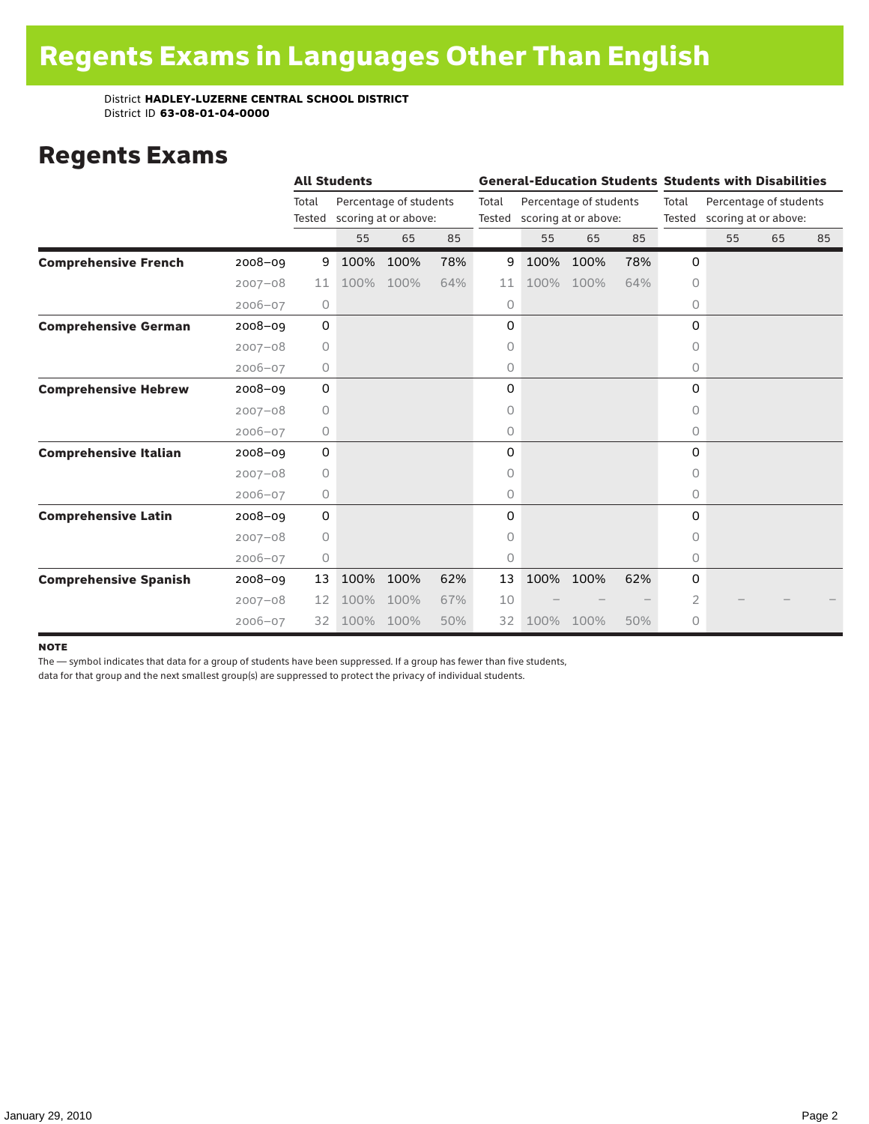### Regents Exams

|                              |             | <b>All Students</b> |      |                                                |     |                 |      |                                                |     |                 | <b>General-Education Students Students with Disabilities</b> |    |    |
|------------------------------|-------------|---------------------|------|------------------------------------------------|-----|-----------------|------|------------------------------------------------|-----|-----------------|--------------------------------------------------------------|----|----|
|                              |             | Total<br>Tested     |      | Percentage of students<br>scoring at or above: |     | Total<br>Tested |      | Percentage of students<br>scoring at or above: |     | Total<br>Tested | Percentage of students<br>scoring at or above:               |    |    |
|                              |             |                     | 55   | 65                                             | 85  |                 | 55   | 65                                             | 85  |                 | 55                                                           | 65 | 85 |
| <b>Comprehensive French</b>  | $2008 - 09$ | 9                   | 100% | 100%                                           | 78% | 9               | 100% | 100%                                           | 78% | 0               |                                                              |    |    |
|                              | $2007 - 08$ | 11                  | 100% | 100%                                           | 64% | 11              | 100% | 100%                                           | 64% | $\circ$         |                                                              |    |    |
|                              | $2006 - 07$ | $\circ$             |      |                                                |     | 0               |      |                                                |     | 0               |                                                              |    |    |
| <b>Comprehensive German</b>  | $2008 - 09$ | 0                   |      |                                                |     | 0               |      |                                                |     | 0               |                                                              |    |    |
|                              | $2007 - 08$ | $\circ$             |      |                                                |     | 0               |      |                                                |     | $\circ$         |                                                              |    |    |
|                              | $2006 - 07$ | 0                   |      |                                                |     | 0               |      |                                                |     | 0               |                                                              |    |    |
| <b>Comprehensive Hebrew</b>  | $2008 - 09$ | 0                   |      |                                                |     | 0               |      |                                                |     | 0               |                                                              |    |    |
|                              | $2007 - 08$ | 0                   |      |                                                |     | 0               |      |                                                |     | 0               |                                                              |    |    |
|                              | $2006 - 07$ | 0                   |      |                                                |     | 0               |      |                                                |     | 0               |                                                              |    |    |
| <b>Comprehensive Italian</b> | $2008 - 09$ | 0                   |      |                                                |     | 0               |      |                                                |     | $\Omega$        |                                                              |    |    |
|                              | $2007 - 08$ | $\circ$             |      |                                                |     | 0               |      |                                                |     | 0               |                                                              |    |    |
|                              | $2006 - 07$ | 0                   |      |                                                |     | 0               |      |                                                |     | 0               |                                                              |    |    |
| <b>Comprehensive Latin</b>   | $2008 - 09$ | 0                   |      |                                                |     | 0               |      |                                                |     | 0               |                                                              |    |    |
|                              | $2007 - 08$ | 0                   |      |                                                |     | 0               |      |                                                |     | 0               |                                                              |    |    |
|                              | $2006 - 07$ | 0                   |      |                                                |     | 0               |      |                                                |     | 0               |                                                              |    |    |
| <b>Comprehensive Spanish</b> | $2008 - 09$ | 13                  | 100% | 100%                                           | 62% | 13              | 100% | 100%                                           | 62% | 0               |                                                              |    |    |
|                              | $2007 - 08$ | 12                  | 100% | 100%                                           | 67% | 10              |      |                                                |     | 2               |                                                              |    |    |
|                              | $2006 - 07$ | 32                  | 100% | 100%                                           | 50% | 32              | 100% | 100%                                           | 50% | 0               |                                                              |    |    |

#### **NOTE**

The — symbol indicates that data for a group of students have been suppressed. If a group has fewer than five students,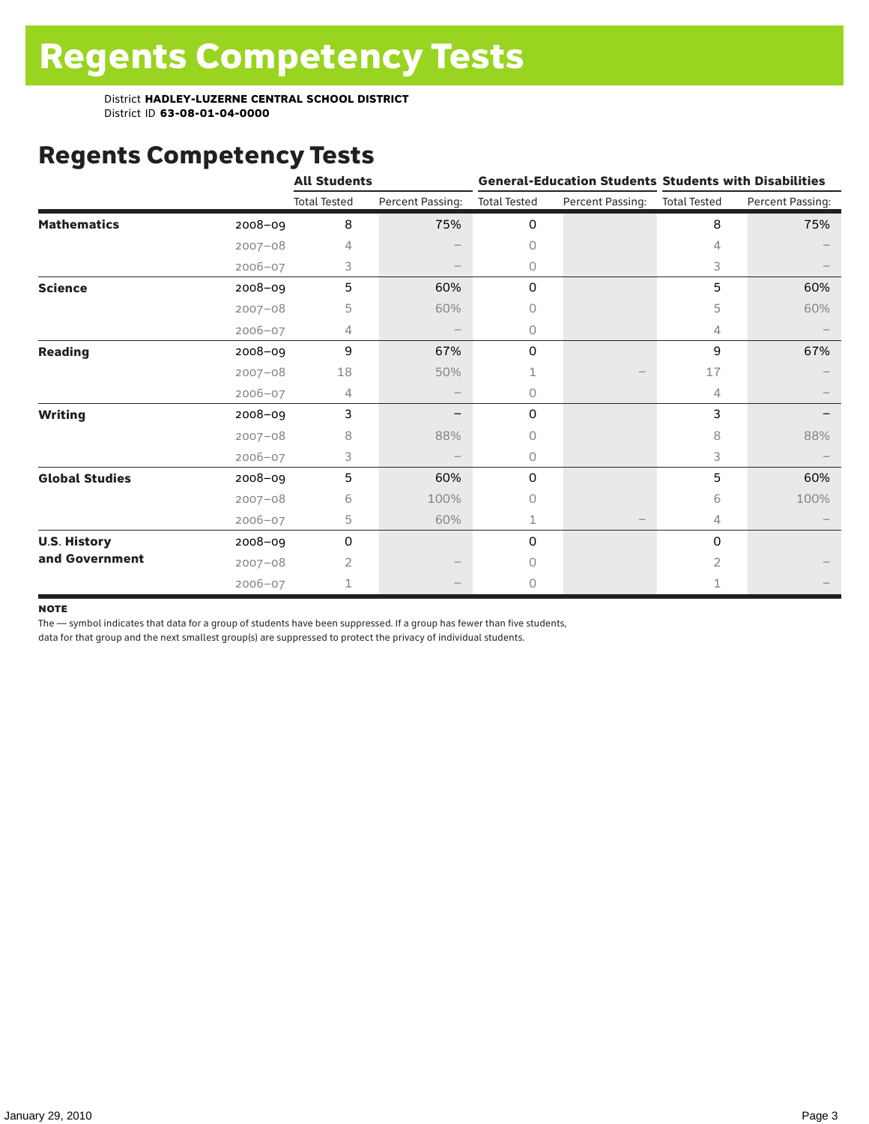# Regents Competency Tests

|                       |             | <b>All Students</b> |                  |                     | <b>General-Education Students Students with Disabilities</b> |                     |                  |  |  |  |
|-----------------------|-------------|---------------------|------------------|---------------------|--------------------------------------------------------------|---------------------|------------------|--|--|--|
|                       |             | <b>Total Tested</b> | Percent Passing: | <b>Total Tested</b> | Percent Passing:                                             | <b>Total Tested</b> | Percent Passing: |  |  |  |
| <b>Mathematics</b>    | 2008-09     | 8                   | 75%              | 0                   |                                                              | 8                   | 75%              |  |  |  |
|                       | $2007 - 08$ | 4                   |                  | 0                   |                                                              | 4                   |                  |  |  |  |
|                       | $2006 - 07$ | 3                   |                  | 0                   |                                                              | 3                   |                  |  |  |  |
| <b>Science</b>        | 2008-09     | 5                   | 60%              | 0                   |                                                              | 5                   | 60%              |  |  |  |
|                       | $2007 - 08$ | 5                   | 60%              | 0                   |                                                              | 5                   | 60%              |  |  |  |
|                       | $2006 - 07$ | 4                   |                  | 0                   |                                                              | 4                   |                  |  |  |  |
| <b>Reading</b>        | 2008-09     | 9                   | 67%              | 0                   |                                                              | 9                   | 67%              |  |  |  |
|                       | $2007 - 08$ | 18                  | 50%              | 1                   |                                                              | 17                  |                  |  |  |  |
|                       | $2006 - 07$ | 4                   |                  | 0                   |                                                              | 4                   |                  |  |  |  |
| <b>Writing</b>        | 2008-09     | 3                   |                  | 0                   |                                                              | 3                   |                  |  |  |  |
|                       | $2007 - 08$ | 8                   | 88%              | 0                   |                                                              | 8                   | 88%              |  |  |  |
|                       | $2006 - 07$ | 3                   |                  | 0                   |                                                              | 3                   |                  |  |  |  |
| <b>Global Studies</b> | 2008-09     | 5                   | 60%              | 0                   |                                                              | 5                   | 60%              |  |  |  |
|                       | $2007 - 08$ | 6                   | 100%             | 0                   |                                                              | 6                   | 100%             |  |  |  |
|                       | 2006-07     | 5                   | 60%              | 1                   |                                                              | 4                   |                  |  |  |  |
| <b>U.S. History</b>   | 2008-09     | 0                   |                  | 0                   |                                                              | $\mathbf 0$         |                  |  |  |  |
| and Government        | $2007 - 08$ | 2                   |                  | 0                   |                                                              | 2                   |                  |  |  |  |
|                       | $2006 - 07$ | 1                   |                  | 0                   |                                                              | $\mathbf 1$         |                  |  |  |  |

#### **NOTE**

The — symbol indicates that data for a group of students have been suppressed. If a group has fewer than five students,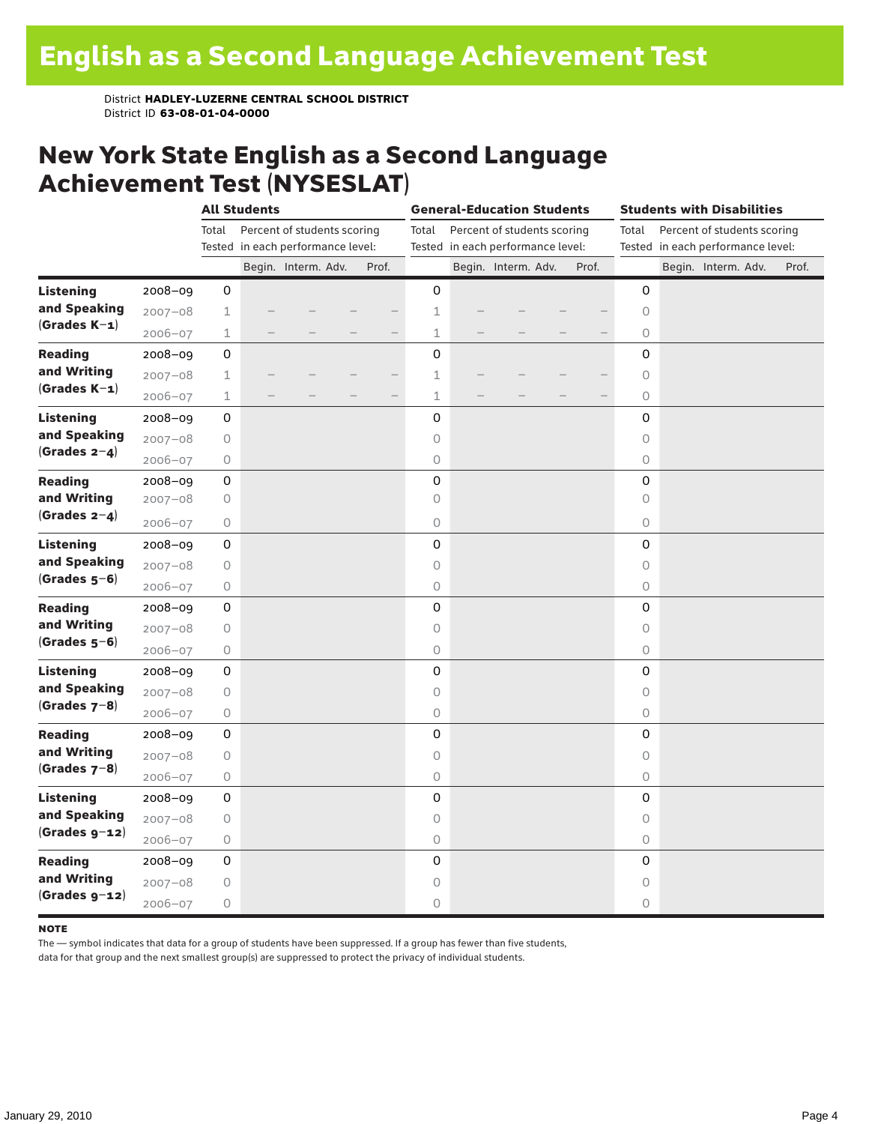### New York State English as a Second Language Achievement Test (NYSESLAT)

|                  |             | <b>All Students</b> |                                   |                             |  |       | <b>General-Education Students</b> |                                   |                             |  | <b>Students with Disabilities</b> |                     |  |                                   |       |
|------------------|-------------|---------------------|-----------------------------------|-----------------------------|--|-------|-----------------------------------|-----------------------------------|-----------------------------|--|-----------------------------------|---------------------|--|-----------------------------------|-------|
|                  |             | Total               |                                   | Percent of students scoring |  |       | Total                             |                                   | Percent of students scoring |  |                                   | Total               |  | Percent of students scoring       |       |
|                  |             |                     | Tested in each performance level: |                             |  |       |                                   | Tested in each performance level: |                             |  |                                   |                     |  | Tested in each performance level: |       |
|                  |             |                     |                                   | Begin. Interm. Adv.         |  | Prof. |                                   |                                   | Begin. Interm. Adv.         |  | Prof.                             |                     |  | Begin. Interm. Adv.               | Prof. |
| <b>Listening</b> | 2008-09     | 0                   |                                   |                             |  |       | 0                                 |                                   |                             |  |                                   | 0                   |  |                                   |       |
| and Speaking     | $2007 - 08$ | $\mathbf 1$         |                                   |                             |  |       | 1                                 |                                   |                             |  |                                   | $\circ$             |  |                                   |       |
| $(Grades K-1)$   | $2006 - 07$ | $\mathbf 1$         |                                   |                             |  |       | $\mathbf 1$                       |                                   |                             |  |                                   | $\circ$             |  |                                   |       |
| <b>Reading</b>   | $2008 - 09$ | 0                   |                                   |                             |  |       | 0                                 |                                   |                             |  |                                   | 0                   |  |                                   |       |
| and Writing      | $2007 - 08$ | 1                   |                                   |                             |  |       | 1                                 |                                   |                             |  |                                   | $\circlearrowright$ |  |                                   |       |
| $(Grades K-1)$   | $2006 - 07$ | $\mathbf 1$         |                                   |                             |  |       | 1                                 |                                   |                             |  |                                   | $\circlearrowright$ |  |                                   |       |
| <b>Listening</b> | 2008-09     | 0                   |                                   |                             |  |       | 0                                 |                                   |                             |  |                                   | 0                   |  |                                   |       |
| and Speaking     | $2007 - 08$ | 0                   |                                   |                             |  |       | 0                                 |                                   |                             |  |                                   | $\circ$             |  |                                   |       |
| (Grades $2-4$ )  | $2006 - 07$ | 0                   |                                   |                             |  |       | 0                                 |                                   |                             |  |                                   | $\circlearrowright$ |  |                                   |       |
| <b>Reading</b>   | $2008 - 09$ | 0                   |                                   |                             |  |       | 0                                 |                                   |                             |  |                                   | 0                   |  |                                   |       |
| and Writing      | $2007 - 08$ | 0                   |                                   |                             |  |       | 0                                 |                                   |                             |  |                                   | $\circ$             |  |                                   |       |
| (Grades $2-4$ )  | $2006 - 07$ | 0                   |                                   |                             |  |       | 0                                 |                                   |                             |  |                                   | $\circ$             |  |                                   |       |
| <b>Listening</b> | 2008-09     | 0                   |                                   |                             |  |       | 0                                 |                                   |                             |  |                                   | 0                   |  |                                   |       |
| and Speaking     | $2007 - 08$ | 0                   |                                   |                             |  |       | 0                                 |                                   |                             |  |                                   | $\circlearrowright$ |  |                                   |       |
| $(Grades 5-6)$   | 2006-07     | 0                   |                                   |                             |  |       | 0                                 |                                   |                             |  |                                   | 0                   |  |                                   |       |
| <b>Reading</b>   | 2008-09     | 0                   |                                   |                             |  |       | 0                                 |                                   |                             |  |                                   | 0                   |  |                                   |       |
| and Writing      | $2007 - 08$ | 0                   |                                   |                             |  |       | 0                                 |                                   |                             |  |                                   | $\circ$             |  |                                   |       |
| $(Grades 5-6)$   | $2006 - 07$ | 0                   |                                   |                             |  |       | 0                                 |                                   |                             |  |                                   | $\circ$             |  |                                   |       |
| <b>Listening</b> | 2008-09     | 0                   |                                   |                             |  |       | 0                                 |                                   |                             |  |                                   | 0                   |  |                                   |       |
| and Speaking     | $2007 - 08$ | 0                   |                                   |                             |  |       | 0                                 |                                   |                             |  |                                   | 0                   |  |                                   |       |
| $(Grades 7-8)$   | $2006 - 07$ | 0                   |                                   |                             |  |       | 0                                 |                                   |                             |  |                                   | 0                   |  |                                   |       |
| <b>Reading</b>   | $2008 - 09$ | 0                   |                                   |                             |  |       | 0                                 |                                   |                             |  |                                   | 0                   |  |                                   |       |
| and Writing      | $2007 - 08$ | 0                   |                                   |                             |  |       | 0                                 |                                   |                             |  |                                   | $\circ$             |  |                                   |       |
| $(Grades 7-8)$   | 2006-07     | 0                   |                                   |                             |  |       | 0                                 |                                   |                             |  |                                   | $\circlearrowright$ |  |                                   |       |
| <b>Listening</b> | $2008 - 09$ | 0                   |                                   |                             |  |       | 0                                 |                                   |                             |  |                                   | 0                   |  |                                   |       |
| and Speaking     | $2007 - 08$ | 0                   |                                   |                             |  |       | 0                                 |                                   |                             |  |                                   | $\circ$             |  |                                   |       |
| $(Grades g-12)$  | $2006 - 07$ | 0                   |                                   |                             |  |       | 0                                 |                                   |                             |  |                                   | $\circ$             |  |                                   |       |
| <b>Reading</b>   | 2008-09     | 0                   |                                   |                             |  |       | 0                                 |                                   |                             |  |                                   | 0                   |  |                                   |       |
| and Writing      | $2007 - 08$ | 0                   |                                   |                             |  |       | 0                                 |                                   |                             |  |                                   | 0                   |  |                                   |       |
| $(Grades g-12)$  | $2006 - 07$ | 0                   |                                   |                             |  |       | 0                                 |                                   |                             |  |                                   | 0                   |  |                                   |       |

#### **NOTE**

The — symbol indicates that data for a group of students have been suppressed. If a group has fewer than five students,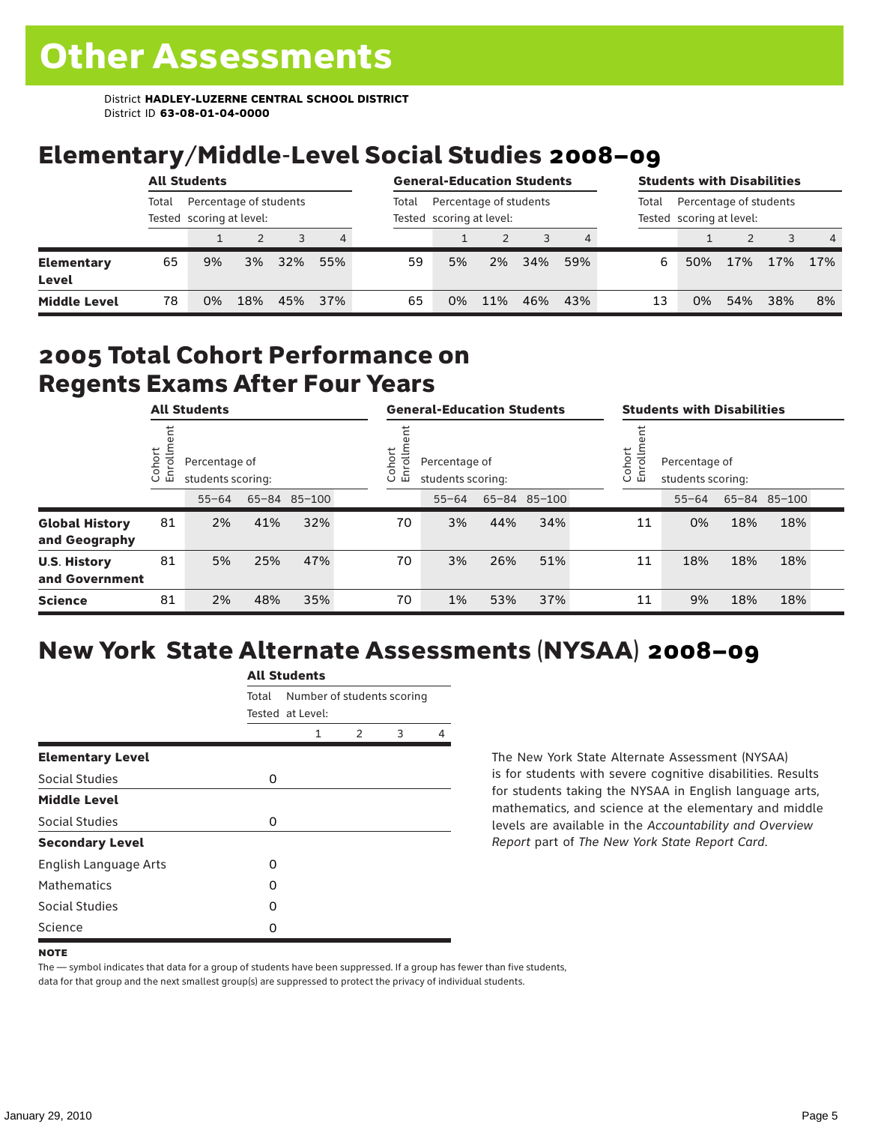# Elementary/Middle-Level Social Studies 2008–09

|                            | <b>All Students</b>                                         |    |     |     |       |                                                    | <b>General-Education Students</b> |     |     |       |                                                    | <b>Students with Disabilities</b> |     |     |                |
|----------------------------|-------------------------------------------------------------|----|-----|-----|-------|----------------------------------------------------|-----------------------------------|-----|-----|-------|----------------------------------------------------|-----------------------------------|-----|-----|----------------|
|                            | Percentage of students<br>Total<br>Tested scoring at level: |    |     |     | Total | Percentage of students<br>Tested scoring at level: |                                   |     |     | Total | Percentage of students<br>Tested scoring at level: |                                   |     |     |                |
|                            |                                                             |    |     |     | 4     |                                                    |                                   |     |     |       |                                                    |                                   |     |     | $\overline{4}$ |
| <b>Elementary</b><br>Level | 65                                                          | 9% | 3%  | 32% | 55%   | 59                                                 | 5%                                | 2%  | 34% | 59%   | 6                                                  | 50%                               | 17% | 17% | 17%            |
| <b>Middle Level</b>        | 78                                                          | 0% | 18% | 45% | 37%   | 65                                                 | 0%                                | 11% | 46% | 43%   | 13                                                 | 0%                                | 54% | 38% | 8%             |

### 2005 Total Cohort Performance on Regents Exams After Four Years

|                                        | <b>All Students</b>    |           |                                    |              |  | <b>General-Education Students</b> |                                                                    |     |              |  | <b>Students with Disabilities</b>                             |           |     |              |  |
|----------------------------------------|------------------------|-----------|------------------------------------|--------------|--|-----------------------------------|--------------------------------------------------------------------|-----|--------------|--|---------------------------------------------------------------|-----------|-----|--------------|--|
|                                        | Cohort<br>$\circ$<br>面 |           | Percentage of<br>students scoring: |              |  |                                   | Cohort<br>$\frac{1}{2}$<br>Percentage of<br>멷<br>students scoring: |     |              |  | Cohort<br>$=$<br>Percentage of<br>5<br>문<br>students scoring: |           |     |              |  |
|                                        |                        | $55 - 64$ |                                    | 65-84 85-100 |  |                                   | $55 - 64$                                                          |     | 65-84 85-100 |  |                                                               | $55 - 64$ |     | 65-84 85-100 |  |
| <b>Global History</b><br>and Geography | 81                     | 2%        | 41%                                | 32%          |  | 70                                | 3%                                                                 | 44% | 34%          |  | 11                                                            | 0%        | 18% | 18%          |  |
| <b>U.S. History</b><br>and Government  | 81                     | 5%        | 25%                                | 47%          |  | 70                                | 3%                                                                 | 26% | 51%          |  | 11                                                            | 18%       | 18% | 18%          |  |
| <b>Science</b>                         | 81                     | 2%        | 48%                                | 35%          |  | 70                                | 1%                                                                 | 53% | 37%          |  | 11                                                            | 9%        | 18% | 18%          |  |

### New York State Alternate Assessments (NYSAA) 2008–09

| <b>All Students</b>          |       |                                                |               |   |   |  |  |  |  |
|------------------------------|-------|------------------------------------------------|---------------|---|---|--|--|--|--|
|                              | Total | Number of students scoring<br>Tested at Level: |               |   |   |  |  |  |  |
|                              |       | 1                                              | $\mathcal{P}$ | 3 | 4 |  |  |  |  |
| <b>Elementary Level</b>      |       |                                                |               |   |   |  |  |  |  |
| Social Studies               | 0     |                                                |               |   |   |  |  |  |  |
| <b>Middle Level</b>          |       |                                                |               |   |   |  |  |  |  |
| Social Studies               | 0     |                                                |               |   |   |  |  |  |  |
| <b>Secondary Level</b>       |       |                                                |               |   |   |  |  |  |  |
| <b>English Language Arts</b> | O     |                                                |               |   |   |  |  |  |  |
| <b>Mathematics</b>           | Ω     |                                                |               |   |   |  |  |  |  |
| Social Studies               | O     |                                                |               |   |   |  |  |  |  |
| Science                      | Ω     |                                                |               |   |   |  |  |  |  |

The New York State Alternate Assessment (NYSAA) is for students with severe cognitive disabilities. Results for students taking the NYSAA in English language arts, mathematics, and science at the elementary and middle levels are available in the *Accountability and Overview Report* part of *The New York State Report Card*.

The — symbol indicates that data for a group of students have been suppressed. If a group has fewer than five students, data for that group and the next smallest group(s) are suppressed to protect the privacy of individual students.

**NOTE**